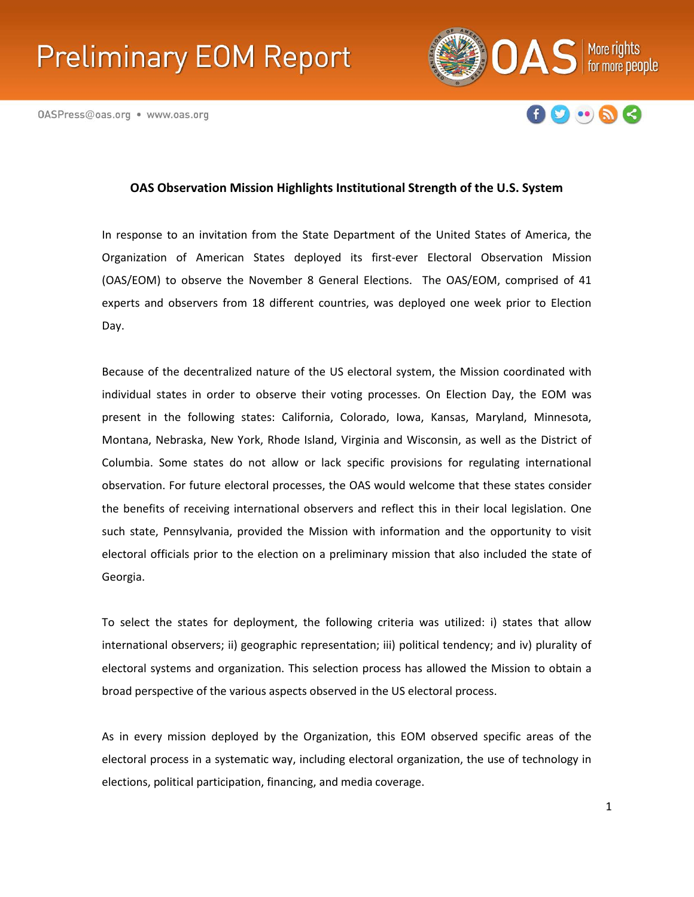# **Preliminary EOM Report**





# **OAS Observation Mission Highlights Institutional Strength of the U.S. System**

In response to an invitation from the State Department of the United States of America, the Organization of American States deployed its first-ever Electoral Observation Mission (OAS/EOM) to observe the November 8 General Elections. The OAS/EOM, comprised of 41 experts and observers from 18 different countries, was deployed one week prior to Election Day.

Because of the decentralized nature of the US electoral system, the Mission coordinated with individual states in order to observe their voting processes. On Election Day, the EOM was present in the following states: California, Colorado, Iowa, Kansas, Maryland, Minnesota, Montana, Nebraska, New York, Rhode Island, Virginia and Wisconsin, as well as the District of Columbia. Some states do not allow or lack specific provisions for regulating international observation. For future electoral processes, the OAS would welcome that these states consider the benefits of receiving international observers and reflect this in their local legislation. One such state, Pennsylvania, provided the Mission with information and the opportunity to visit electoral officials prior to the election on a preliminary mission that also included the state of Georgia.

To select the states for deployment, the following criteria was utilized: i) states that allow international observers; ii) geographic representation; iii) political tendency; and iv) plurality of electoral systems and organization. This selection process has allowed the Mission to obtain a broad perspective of the various aspects observed in the US electoral process.

As in every mission deployed by the Organization, this EOM observed specific areas of the [electoral process in a systematic way, including electoral organization, the use of technology in](https://www.facebook.com/oasofficial)  elections, political participation, financing, and media coverage.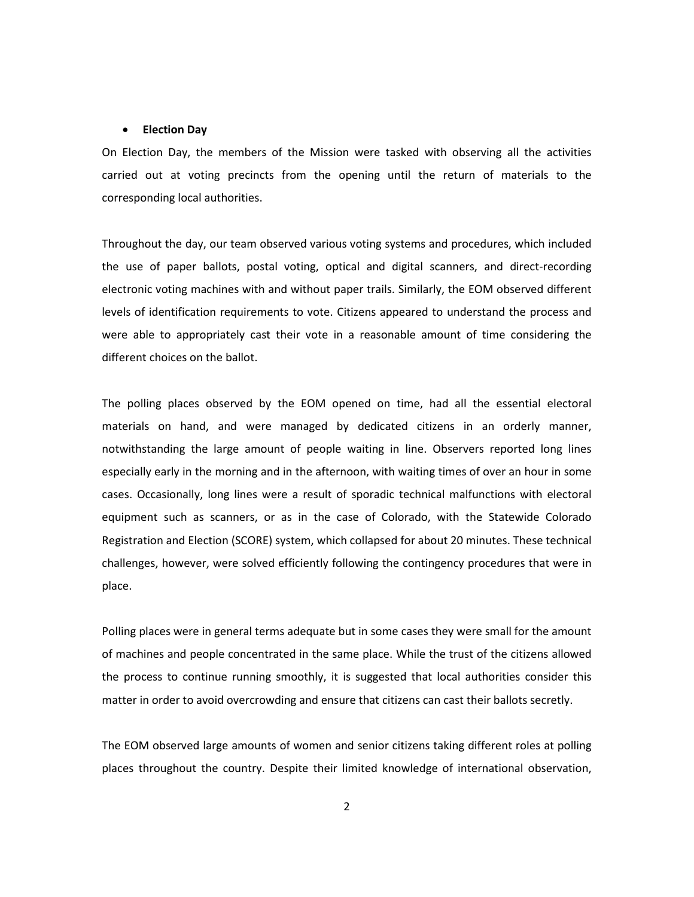#### • **Election Day**

On Election Day, the members of the Mission were tasked with observing all the activities carried out at voting precincts from the opening until the return of materials to the corresponding local authorities.

Throughout the day, our team observed various voting systems and procedures, which included the use of paper ballots, postal voting, optical and digital scanners, and direct-recording electronic voting machines with and without paper trails. Similarly, the EOM observed different levels of identification requirements to vote. Citizens appeared to understand the process and were able to appropriately cast their vote in a reasonable amount of time considering the different choices on the ballot.

The polling places observed by the EOM opened on time, had all the essential electoral materials on hand, and were managed by dedicated citizens in an orderly manner, notwithstanding the large amount of people waiting in line. Observers reported long lines especially early in the morning and in the afternoon, with waiting times of over an hour in some cases. Occasionally, long lines were a result of sporadic technical malfunctions with electoral equipment such as scanners, or as in the case of Colorado, with the Statewide Colorado Registration and Election (SCORE) system, which collapsed for about 20 minutes. These technical challenges, however, were solved efficiently following the contingency procedures that were in place.

Polling places were in general terms adequate but in some cases they were small for the amount of machines and people concentrated in the same place. While the trust of the citizens allowed the process to continue running smoothly, it is suggested that local authorities consider this matter in order to avoid overcrowding and ensure that citizens can cast their ballots secretly.

The EOM observed large amounts of women and senior citizens taking different roles at polling places throughout the country. Despite their limited knowledge of international observation,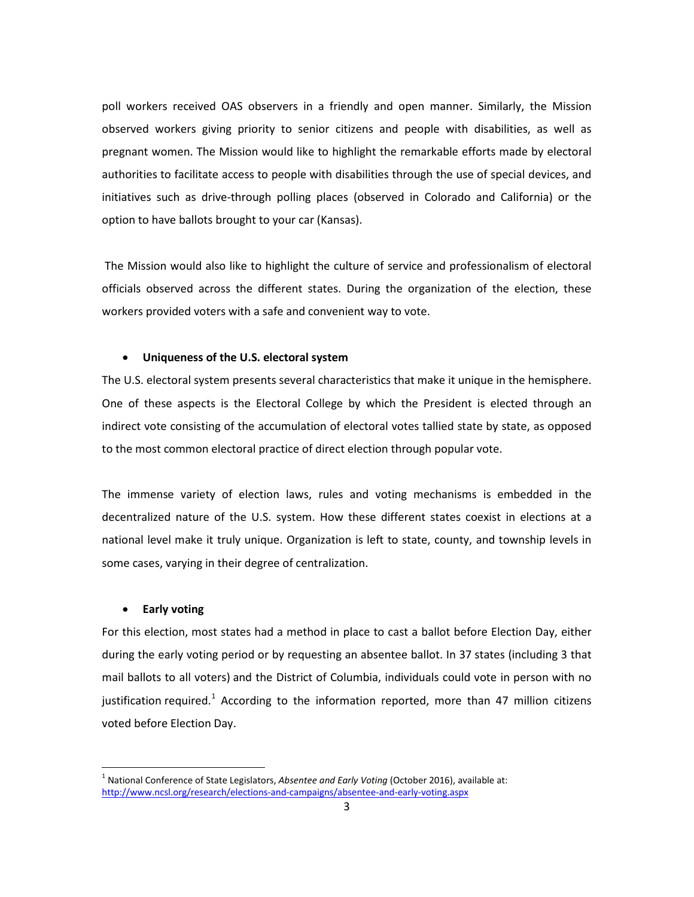poll workers received OAS observers in a friendly and open manner. Similarly, the Mission observed workers giving priority to senior citizens and people with disabilities, as well as pregnant women. The Mission would like to highlight the remarkable efforts made by electoral authorities to facilitate access to people with disabilities through the use of special devices, and initiatives such as drive-through polling places (observed in Colorado and California) or the option to have ballots brought to your car (Kansas).

The Mission would also like to highlight the culture of service and professionalism of electoral officials observed across the different states. During the organization of the election, these workers provided voters with a safe and convenient way to vote.

#### • **Uniqueness of the U.S. electoral system**

The U.S. electoral system presents several characteristics that make it unique in the hemisphere. One of these aspects is the Electoral College by which the President is elected through an indirect vote consisting of the accumulation of electoral votes tallied state by state, as opposed to the most common electoral practice of direct election through popular vote.

The immense variety of election laws, rules and voting mechanisms is embedded in the decentralized nature of the U.S. system. How these different states coexist in elections at a national level make it truly unique. Organization is left to state, county, and township levels in some cases, varying in their degree of centralization.

# • **Early voting**

For this election, most states had a method in place to cast a ballot before Election Day, either during the early voting period or by requesting an absentee ballot. In 37 states (including 3 that mail ballots to all voters) and the District of Columbia, individuals could vote in person with no justification required.<sup>[1](#page-2-0)</sup> According to the information reported, more than 47 million citizens voted before Election Day.

<span id="page-2-0"></span><sup>&</sup>lt;sup>1</sup> National Conference of State Legislators, Absentee and Early Voting (October 2016), available at: <http://www.ncsl.org/research/elections-and-campaigns/absentee-and-early-voting.aspx>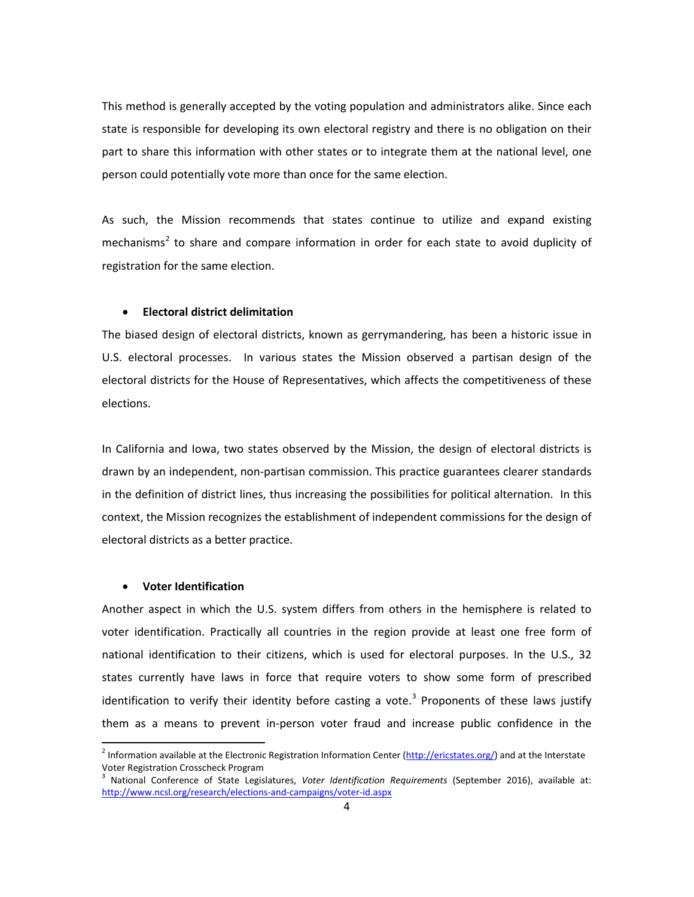This method is generally accepted by the voting population and administrators alike. Since each state is responsible for developing its own electoral registry and there is no obligation on their part to share this information with other states or to integrate them at the national level, one person could potentially vote more than once for the same election.

As such, the Mission recommends that states continue to utilize and expand existing mechanisms<sup>[2](#page-3-0)</sup> to share and compare information in order for each state to avoid duplicity of registration for the same election.

#### • **Electoral district delimitation**

The biased design of electoral districts, known as gerrymandering, has been a historic issue in U.S. electoral processes. In various states the Mission observed a partisan design of the electoral districts for the House of Representatives, which affects the competitiveness of these elections.

In California and Iowa, two states observed by the Mission, the design of electoral districts is drawn by an independent, non-partisan commission. This practice guarantees clearer standards in the definition of district lines, thus increasing the possibilities for political alternation. In this context, the Mission recognizes the establishment of independent commissions for the design of electoral districts as a better practice.

#### • **Voter Identification**

Another aspect in which the U.S. system differs from others in the hemisphere is related to voter identification. Practically all countries in the region provide at least one free form of national identification to their citizens, which is used for electoral purposes. In the U.S., 32 states currently have laws in force that require voters to show some form of prescribed identification to verify their identity before casting a vote.<sup>[3](#page-3-1)</sup> Proponents of these laws justify them as a means to prevent in-person voter fraud and increase public confidence in the

<span id="page-3-0"></span><sup>&</sup>lt;sup>2</sup> Information available at the Electronic Registration Information Center ( $\frac{http://ericstates.org/}{http://ericstates.org/}$ ) and at the Interstate Voter Registration Crosscheck Program

<span id="page-3-1"></span><sup>3</sup> National Conference of State Legislatures, *Voter Identification Requirements* (September 2016), available at: <http://www.ncsl.org/research/elections-and-campaigns/voter-id.aspx>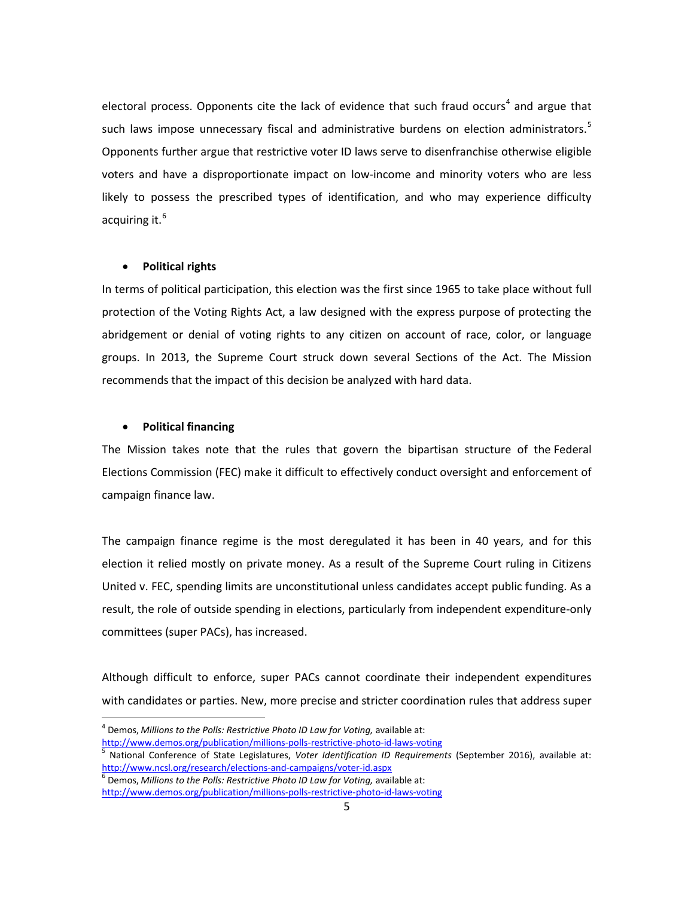electoral process. Opponents cite the lack of evidence that such fraud occurs<sup>[4](#page-4-0)</sup> and argue that such laws impose unnecessary fiscal and administrative burdens on election administrators.<sup>[5](#page-4-1)</sup> Opponents further argue that restrictive voter ID laws serve to disenfranchise otherwise eligible voters and have a disproportionate impact on low-income and minority voters who are less likely to possess the prescribed types of identification, and who may experience difficulty acquiring it.<sup>[6](#page-4-2)</sup>

## • **Political rights**

In terms of political participation, this election was the first since 1965 to take place without full protection of the Voting Rights Act, a law designed with the express purpose of protecting the abridgement or denial of voting rights to any citizen on account of race, color, or language groups. In 2013, the Supreme Court struck down several Sections of the Act. The Mission recommends that the impact of this decision be analyzed with hard data.

#### • **Political financing**

The Mission takes note that the rules that govern the bipartisan structure of the Federal Elections Commission (FEC) make it difficult to effectively conduct oversight and enforcement of campaign finance law.

The campaign finance regime is the most deregulated it has been in 40 years, and for this election it relied mostly on private money. As a result of the Supreme Court ruling in Citizens United v. FEC, spending limits are unconstitutional unless candidates accept public funding. As a result, the role of outside spending in elections, particularly from independent expenditure-only committees (super PACs), has increased.

Although difficult to enforce, super PACs cannot coordinate their independent expenditures with candidates or parties. New, more precise and stricter coordination rules that address super

<span id="page-4-0"></span><sup>&</sup>lt;sup>4</sup> Demos, *Millions to the Polls: Restrictive Photo ID Law for Voting, available at:*<br>http://www.demos.org/publication/millions-polls-restrictive-photo-id-laws-voting

<span id="page-4-1"></span>hational Conference of State Legislatures, Voter Identification ID Requirements (September 2016), available at: http://www.ncsl.org/research/elections-and-campaigns/voter-id.aspx<br><sup>6</sup> Demos, *Millions to the Polls: Restrictive Photo ID Law for Voting,* available at:

<span id="page-4-2"></span><http://www.demos.org/publication/millions-polls-restrictive-photo-id-laws-voting>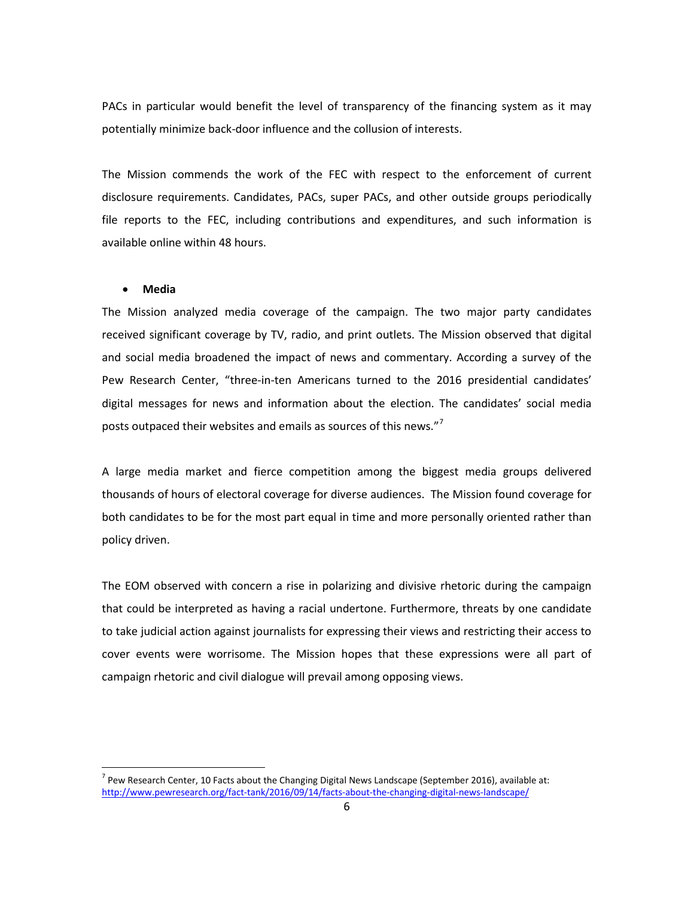PACs in particular would benefit the level of transparency of the financing system as it may potentially minimize back-door influence and the collusion of interests.

The Mission commends the work of the FEC with respect to the enforcement of current disclosure requirements. Candidates, PACs, super PACs, and other outside groups periodically file reports to the FEC, including contributions and expenditures, and such information is available online within 48 hours.

#### • **Media**

The Mission analyzed media coverage of the campaign. The two major party candidates received significant coverage by TV, radio, and print outlets. The Mission observed that digital and social media broadened the impact of news and commentary. According a survey of the Pew Research Center, "three-in-ten Americans turned to the 2016 presidential candidates' digital messages for news and information about the election. The candidates' social media posts outpaced their websites and emails as sources of this news."[7](#page-5-0)

A large media market and fierce competition among the biggest media groups delivered thousands of hours of electoral coverage for diverse audiences. The Mission found coverage for both candidates to be for the most part equal in time and more personally oriented rather than policy driven.

The EOM observed with concern a rise in polarizing and divisive rhetoric during the campaign that could be interpreted as having a racial undertone. Furthermore, threats by one candidate to take judicial action against journalists for expressing their views and restricting their access to cover events were worrisome. The Mission hopes that these expressions were all part of campaign rhetoric and civil dialogue will prevail among opposing views.

<span id="page-5-0"></span> $^7$  Pew Research Center, 10 Facts about the Changing Digital News Landscape (September 2016), available at: <http://www.pewresearch.org/fact-tank/2016/09/14/facts-about-the-changing-digital-news-landscape/>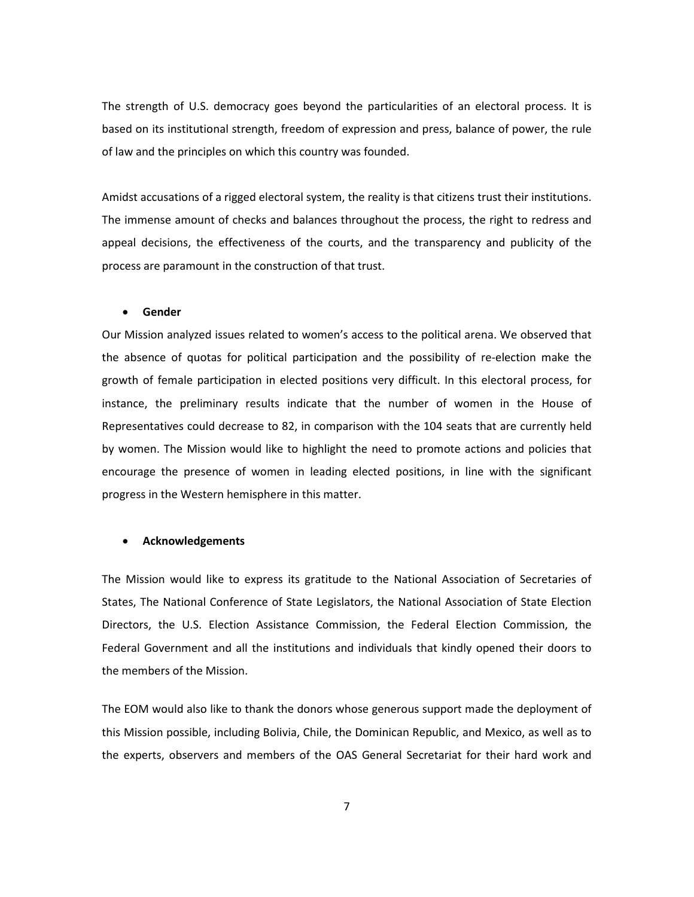The strength of U.S. democracy goes beyond the particularities of an electoral process. It is based on its institutional strength, freedom of expression and press, balance of power, the rule of law and the principles on which this country was founded.

Amidst accusations of a rigged electoral system, the reality is that citizens trust their institutions. The immense amount of checks and balances throughout the process, the right to redress and appeal decisions, the effectiveness of the courts, and the transparency and publicity of the process are paramount in the construction of that trust.

#### • **Gender**

Our Mission analyzed issues related to women's access to the political arena. We observed that the absence of quotas for political participation and the possibility of re-election make the growth of female participation in elected positions very difficult. In this electoral process, for instance, the preliminary results indicate that the number of women in the House of Representatives could decrease to 82, in comparison with the 104 seats that are currently held by women. The Mission would like to highlight the need to promote actions and policies that encourage the presence of women in leading elected positions, in line with the significant progress in the Western hemisphere in this matter.

## • **Acknowledgements**

The Mission would like to express its gratitude to the National Association of Secretaries of States, The National Conference of State Legislators, the National Association of State Election Directors, the U.S. Election Assistance Commission, the Federal Election Commission, the Federal Government and all the institutions and individuals that kindly opened their doors to the members of the Mission.

The EOM would also like to thank the donors whose generous support made the deployment of this Mission possible, including Bolivia, Chile, the Dominican Republic, and Mexico, as well as to the experts, observers and members of the OAS General Secretariat for their hard work and